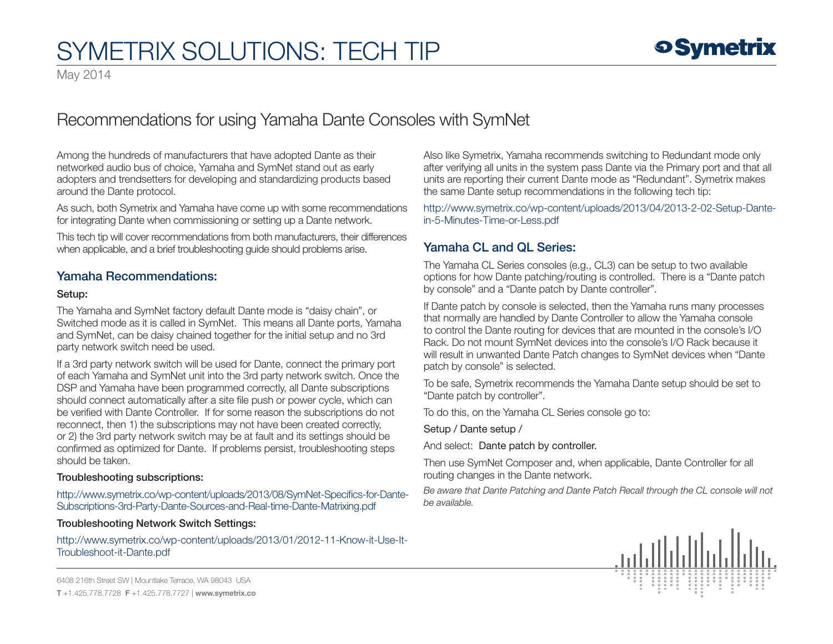# SYMETRIX SOLUTIONS: TECH TIP

May 2014

# Recommendations for using Yamaha Dante Consoles with SymNet

Among the hundreds of manufacturers that have adopted Dante as their networked audio bus of choice, Yamaha and SymNet stand out as early adopters and trendsetters for developing and standardizing products based around the Dante protocol.

As such, both Symetrix and Yamaha have come up with some recommendations for integrating Dante when commissioning or setting up a Dante network.

This tech tip will cover recommendations from both manufacturers, their differences when applicable, and a brief troubleshooting guide should problems arise.

### Yamaha Recommendations:

#### Setup:

The Yamaha and SymNet factory default Dante mode is "daisy chain", or Switched mode as it is called in SymNet. This means all Dante ports, Yamaha and SymNet, can be daisy chained together for the initial setup and no 3rd party network switch need be used.

If a 3rd party network switch will be used for Dante, connect the primary port of each Yamaha and SymNet unit into the 3rd party network switch. Once the DSP and Yamaha have been programmed correctly, all Dante subscriptions should connect automatically after a site file push or power cycle, which can be verified with Dante Controller. If for some reason the subscriptions do not reconnect, then 1) the subscriptions may not have been created correctly, or 2) the 3rd party network switch may be at fault and its settings should be confirmed as optimized for Dante. If problems persist, troubleshooting steps should be taken.

#### Troubleshooting subscriptions:

[http://www.symetrix.co/wp-content/uploads/2013/08/SymNet-Specifics-for-Dante-](http://www.symetrix.co/wp-content/uploads/2013/08/SymNet-Specifics-for-Dante-Subscriptions-3rd-Party-Dante-Sources-and-Real-time-Dante-Matrixing.pdf)[Subscriptions-3rd-Party-Dante-Sources-and-Real-time-Dante-Matrixing.pdf](http://www.symetrix.co/wp-content/uploads/2013/08/SymNet-Specifics-for-Dante-Subscriptions-3rd-Party-Dante-Sources-and-Real-time-Dante-Matrixing.pdf)

#### Troubleshooting Network Switch Settings:

[http://www.symetrix.co/wp-content/uploads/2013/01/2012-11-Know-it-Use-It-](http://www.symetrix.co/wp-content/uploads/2013/01/2012-11-Know-it-Use-It-Troubleshoot-it-Dante.pdf)[Troubleshoot-it-Dante.pdf](http://www.symetrix.co/wp-content/uploads/2013/01/2012-11-Know-it-Use-It-Troubleshoot-it-Dante.pdf)

6408 216th Street SW | Mountlake Terrace, WA 98043 USA T +1.425.778.7728 F +1.425.778.7727 | www.symetrix.co Also like Symetrix, Yamaha recommends switching to Redundant mode only after verifying all units in the system pass Dante via the Primary port and that all units are reporting their current Dante mode as "Redundant". Symetrix makes the same Dante setup recommendations in the following tech tip:

[http://www.symetrix.co/wp-content/uploads/2013/04/2013-2-02-Setup-Dante](http://www.symetrix.co/wp-content/uploads/2013/04/2013-2-02-Setup-Dante-in-5-Minutes-Time-or-Less.pdf)[in-5-Minutes-Time-or-Less.pdf](http://www.symetrix.co/wp-content/uploads/2013/04/2013-2-02-Setup-Dante-in-5-Minutes-Time-or-Less.pdf)

### Yamaha CL and QL Series:

The Yamaha CL Series consoles (e.g., CL3) can be setup to two available options for how Dante patching/routing is controlled. There is a "Dante patch by console" and a "Dante patch by Dante controller".

If Dante patch by console is selected, then the Yamaha runs many processes that normally are handled by Dante Controller to allow the Yamaha console to control the Dante routing for devices that are mounted in the console's I/O Rack. Do not mount SymNet devices into the console's I/O Rack because it will result in unwanted Dante Patch changes to SymNet devices when "Dante patch by console" is selected.

To be safe, Symetrix recommends the Yamaha Dante setup should be set to "Dante patch by controller".

To do this, on the Yamaha CL Series console go to:

Setup / Dante setup /

And select: Dante patch by controller.

Then use SymNet Composer and, when applicable, Dante Controller for all routing changes in the Dante network.

*Be aware that Dante Patching and Dante Patch Recall through the CL console will not be available.*

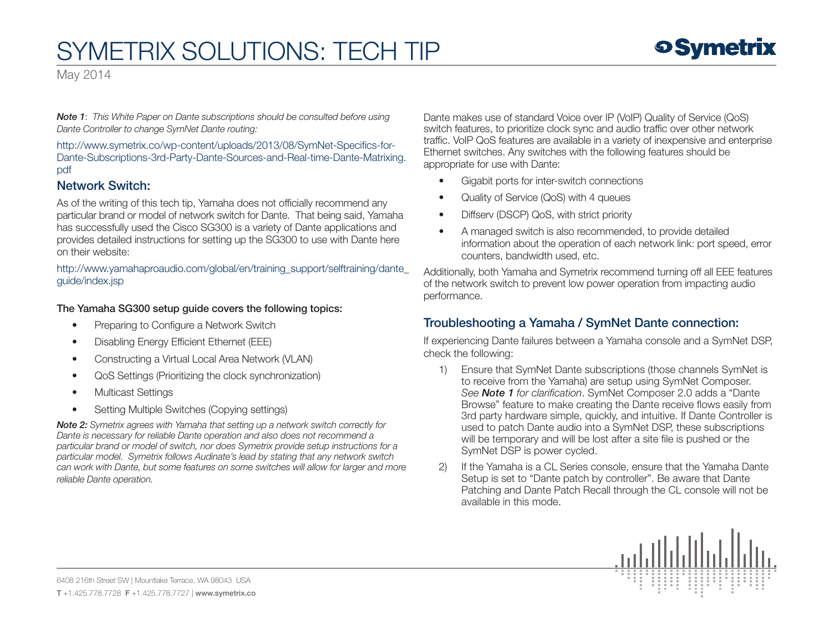May 2014

*Note 1*: *This White Paper on Dante subscriptions should be consulted before using Dante Controller to change SymNet Dante routing:*

[http://www.symetrix.co/wp-content/uploads/2013/08/SymNet-Specifics-for-](http://www.symetrix.co/wp-content/uploads/2013/08/SymNet-Specifics-for-Dante-Subscriptions-3rd-Party-Dante-Sources-and-Real-time-Dante-Matrixing.pdf)[Dante-Subscriptions-3rd-Party-Dante-Sources-and-Real-time-Dante-Matrixing.](http://www.symetrix.co/wp-content/uploads/2013/08/SymNet-Specifics-for-Dante-Subscriptions-3rd-Party-Dante-Sources-and-Real-time-Dante-Matrixing.pdf) [pdf](http://www.symetrix.co/wp-content/uploads/2013/08/SymNet-Specifics-for-Dante-Subscriptions-3rd-Party-Dante-Sources-and-Real-time-Dante-Matrixing.pdf)

## Network Switch:

As of the writing of this tech tip, Yamaha does not officially recommend any particular brand or model of network switch for Dante. That being said, Yamaha has successfully used the Cisco SG300 is a variety of Dante applications and provides detailed instructions for setting up the SG300 to use with Dante here on their website:

http://www.yamahaproaudio.com/global/en/training\_support/selftraining/dante [guide/index.jsp](http://www.yamahaproaudio.com/global/en/training_support/selftraining/dante_guide/index.jsp)

#### The Yamaha SG300 setup guide covers the following topics:

- Preparing to Configure a Network Switch
- Disabling Energy Efficient Ethernet (EEE)
- Constructing a Virtual Local Area Network (VLAN)
- QoS Settings (Prioritizing the clock synchronization)
- Multicast Settings
- Setting Multiple Switches (Copying settings)

*Note 2: Symetrix agrees with Yamaha that setting up a network switch correctly for Dante is necessary for reliable Dante operation and also does not recommend a particular brand or model of switch, nor does Symetrix provide setup instructions for a particular model. Symetrix follows Audinate's lead by stating that any network switch can work with Dante, but some features on some switches will allow for larger and more reliable Dante operation.*

Dante makes use of standard Voice over IP (VoIP) Quality of Service (QoS) switch features, to prioritize clock sync and audio traffic over other network traffic. VoIP QoS features are available in a variety of inexpensive and enterprise Ethernet switches. Any switches with the following features should be appropriate for use with Dante:

- Gigabit ports for inter-switch connections
- Quality of Service (QoS) with 4 queues
- Diffserv (DSCP) QoS, with strict priority
- A managed switch is also recommended, to provide detailed information about the operation of each network link: port speed, error counters, bandwidth used, etc.

Additionally, both Yamaha and Symetrix recommend turning off all EEE features of the network switch to prevent low power operation from impacting audio performance.

# Troubleshooting a Yamaha / SymNet Dante connection:

If experiencing Dante failures between a Yamaha console and a SymNet DSP, check the following:

- 1) Ensure that SymNet Dante subscriptions (those channels SymNet is to receive from the Yamaha) are setup using SymNet Composer. *See Note 1 for clarification*. SymNet Composer 2.0 adds a "Dante Browse" feature to make creating the Dante receive flows easily from 3rd party hardware simple, quickly, and intuitive. If Dante Controller is used to patch Dante audio into a SymNet DSP, these subscriptions will be temporary and will be lost after a site file is pushed or the SymNet DSP is power cycled.
- 2) If the Yamaha is a CL Series console, ensure that the Yamaha Dante Setup is set to "Dante patch by controller". Be aware that Dante Patching and Dante Patch Recall through the CL console will not be available in this mode.